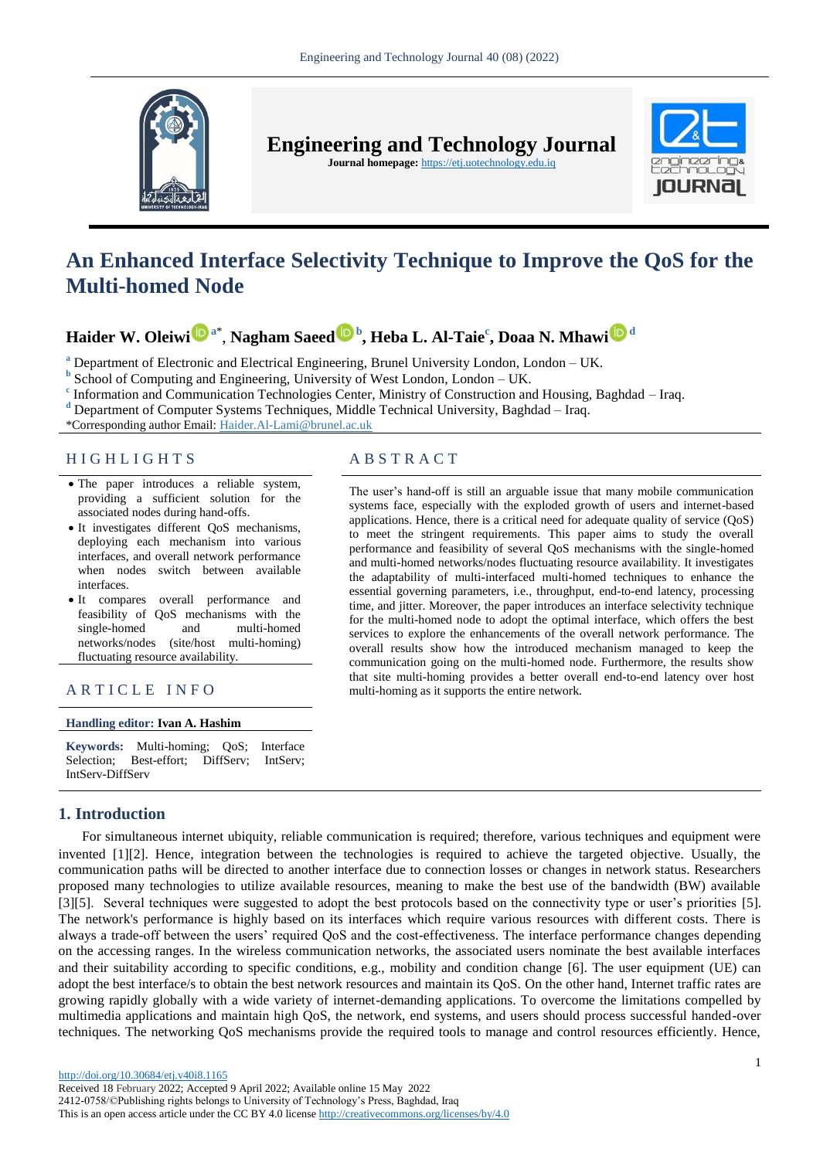

**Engineering and Technology Journal** 

**Journal homepage:** https://etj.uotechnology.edu.iq



# **An Enhanced Interface Selectivity Technique to Improve the QoS for the Multi-homed Node**

# **Haider W. Oleiw[i](https://orcid.org/0000-0001-8967-9037) <sup>a</sup>**\* , **Nagham Saeed [b](https://orcid.org/0000-0002-5124-7973) , Heba L. Al-Taie<sup>c</sup> , Doaa N. Mhaw[i](https://orcid.org/0000-0002-0892-8765) <sup>d</sup>**

**<sup>a</sup>** Department of Electronic and Electrical Engineering, Brunel University London, London – UK.

**b** School of Computing and Engineering, University of West London, London – UK.

<sup>c</sup> Information and Communication Technologies Center, Ministry of Construction and Housing, Baghdad – Iraq.

**<sup>d</sup>** Department of Computer Systems Techniques, Middle Technical University, Baghdad – Iraq.

\*Corresponding author Email: Haider.Al-Lam[i@brunel.ac.uk](mailto:@brunel.ac.uk) 

# H I G H L I G H T S A B S T R A C T

- The paper introduces a reliable system, providing a sufficient solution for the associated nodes during hand-offs.
- It investigates different QoS mechanisms, deploying each mechanism into various interfaces, and overall network performance when nodes switch between available interfaces.
- It compares overall performance and feasibility of QoS mechanisms with the single-homed and multi-homed networks/nodes (site/host multi-homing) fluctuating resource availability.

# A R T I C L E I N F O multi-homing as it supports the entire network.

#### **Handling editor: Ivan A. Hashim**

**Keywords:** Multi-homing; QoS; Interface Selection; Best-effort; DiffServ; IntServ; IntServ-DiffServ

# **1. Introduction**

The user's hand-off is still an arguable issue that many mobile communication systems face, especially with the exploded growth of users and internet-based applications. Hence, there is a critical need for adequate quality of service (QoS) to meet the stringent requirements. This paper aims to study the overall performance and feasibility of several QoS mechanisms with the single-homed and multi-homed networks/nodes fluctuating resource availability. It investigates the adaptability of multi-interfaced multi-homed techniques to enhance the

essential governing parameters, i.e., throughput, end-to-end latency, processing time, and jitter. Moreover, the paper introduces an interface selectivity technique for the multi-homed node to adopt the optimal interface, which offers the best services to explore the enhancements of the overall network performance. The overall results show how the introduced mechanism managed to keep the communication going on the multi-homed node. Furthermore, the results show that site multi-homing provides a better overall end-to-end latency over host

For simultaneous internet ubiquity, reliable communication is required; therefore, various techniques and equipment were invented [\[1\]\[2\].](#page-6-0) Hence, integration between the technologies is required to achieve the targeted objective. Usually, the communication paths will be directed to another interface due to connection losses or changes in network status. Researchers proposed many technologies to utilize available resources, meaning to make the best use of the bandwidth (BW) available [3[\]\[5\].](#page-6-1) Several techniques were suggested to adopt the best protocols based on the connectivity type or user's priorities [\[5\].](#page-6-1)  The network's performance is highly based on its interfaces which require various resources with different costs. There is always a trade-off between the users' required QoS and the cost-effectiveness. The interface performance changes depending on the accessing ranges. In the wireless communication networks, the associated users nominate the best available interfaces and their suitability according to specific conditions, e.g., mobility and condition change [\[6\].](#page-6-2) The user equipment (UE) can adopt the best interface/s to obtain the best network resources and maintain its QoS. On the other hand, Internet traffic rates are growing rapidly globally with a wide variety of internet-demanding applications. To overcome the limitations compelled by multimedia applications and maintain high QoS, the network, end systems, and users should process successful handed-over techniques. The networking QoS mechanisms provide the required tools to manage and control resources efficiently. Hence,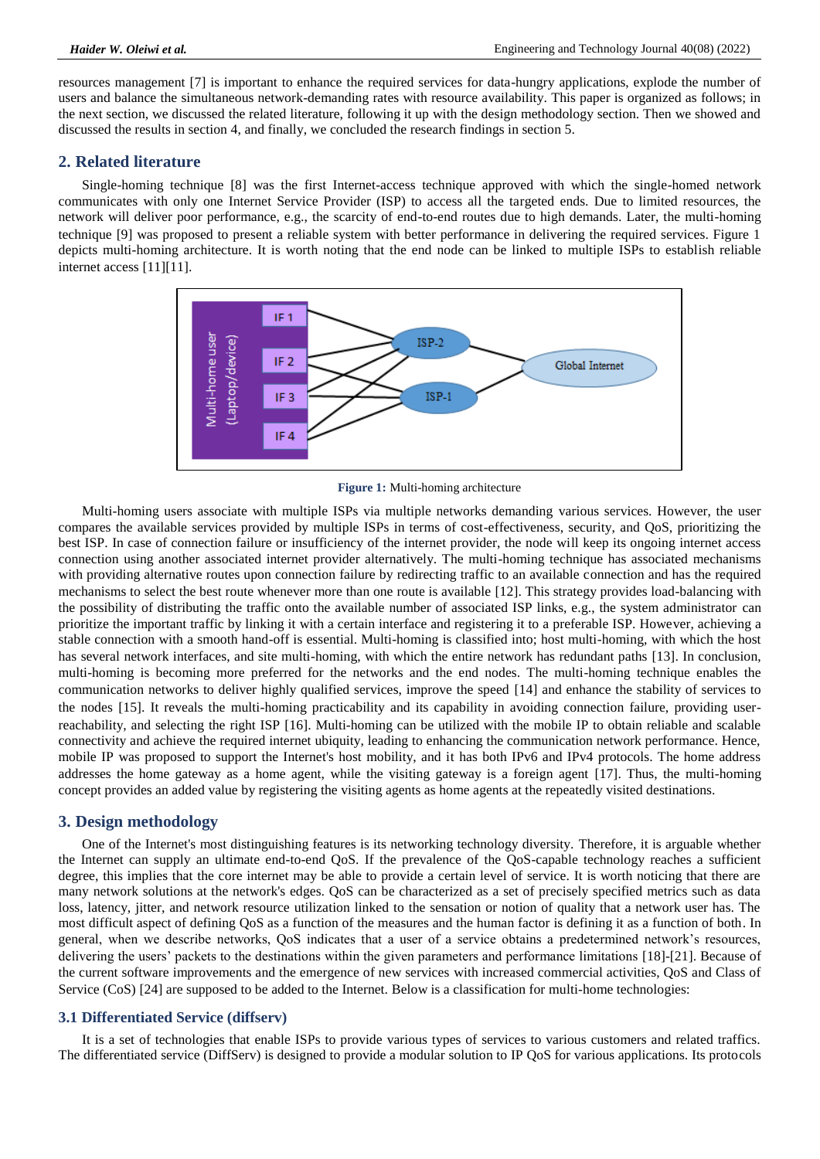resources management [\[7\]](#page-6-3) is important to enhance the required services for data-hungry applications, explode the number of users and balance the simultaneous network-demanding rates with resource availability. This paper is organized as follows; in the next section, we discussed the related literature, following it up with the design methodology section. Then we showed and discussed the results in section 4, and finally, we concluded the research findings in section 5.

## **2. Related literature**

Single-homing technique [\[8\]](#page-6-4) was the first Internet-access technique approved with which the single-homed network communicates with only one Internet Service Provider (ISP) to access all the targeted ends. Due to limited resources, the network will deliver poor performance, e.g., the scarcity of end-to-end routes due to high demands. Later, the multi-homing technique [\[9\]](#page-6-5) was proposed to present a reliable system with better performance in delivering the required services. Figure 1 depicts multi-homing architecture. It is worth noting that the end node can be linked to multiple ISPs to establish reliable internet access [\[11\]\[](#page-6-6)11].



**Figure 1:** Multi-homing architecture

Multi-homing users associate with multiple ISPs via multiple networks demanding various services. However, the user compares the available services provided by multiple ISPs in terms of cost-effectiveness, security, and QoS, prioritizing the best ISP. In case of connection failure or insufficiency of the internet provider, the node will keep its ongoing internet access connection using another associated internet provider alternatively. The multi-homing technique has associated mechanisms with providing alternative routes upon connection failure by redirecting traffic to an available connection and has the required mechanisms to select the best route whenever more than one route is available [\[12\].](#page-6-7) This strategy provides load-balancing with the possibility of distributing the traffic onto the available number of associated ISP links, e.g., the system administrator can prioritize the important traffic by linking it with a certain interface and registering it to a preferable ISP. However, achieving a stable connection with a smooth hand-off is essential. Multi-homing is classified into; host multi-homing, with which the host has several network interfaces, and site multi-homing, with which the entire network has redundant paths [\[13\].](#page-6-8) In conclusion, multi-homing is becoming more preferred for the networks and the end nodes. The multi-homing technique enables the communication networks to deliver highly qualified services, improve the speed [\[14\]](#page-6-9) and enhance the stability of services to the nodes [\[15\].](#page-6-10) It reveals the multi-homing practicability and its capability in avoiding connection failure, providing userreachability, and selecting the right ISP [\[16\].](#page-7-0) Multi-homing can be utilized with the mobile IP to obtain reliable and scalable connectivity and achieve the required internet ubiquity, leading to enhancing the communication network performance. Hence, mobile IP was proposed to support the Internet's host mobility, and it has both IPv6 and IPv4 protocols. The home address addresses the home gateway as a home agent, while the visiting gateway is a foreign agent [\[17\].](#page-7-1) Thus, the multi-homing concept provides an added value by registering the visiting agents as home agents at the repeatedly visited destinations.

## **3. Design methodology**

One of the Internet's most distinguishing features is its networking technology diversity. Therefore, it is arguable whether the Internet can supply an ultimate end-to-end QoS. If the prevalence of the QoS-capable technology reaches a sufficient degree, this implies that the core internet may be able to provide a certain level of service. It is worth noticing that there are many network solutions at the network's edges. QoS can be characterized as a set of precisely specified metrics such as data loss, latency, jitter, and network resource utilization linked to the sensation or notion of quality that a network user has. The most difficult aspect of defining QoS as a function of the measures and the human factor is defining it as a function of both. In general, when we describe networks, QoS indicates that a user of a service obtains a predetermined network's resources, delivering the users' packets to the destinations within the given parameters and performance limitations [\[18\]](#page-7-2)[-\[21\].](#page-7-3) Because of the current software improvements and the emergence of new services with increased commercial activities, QoS and Class of Service (CoS) [\[24\]](#page-7-4) are supposed to be added to the Internet. Below is a classification for multi-home technologies:

## **3.1 Differentiated Service (diffserv)**

It is a set of technologies that enable ISPs to provide various types of services to various customers and related traffics. The differentiated service (DiffServ) is designed to provide a modular solution to IP QoS for various applications. Its protocols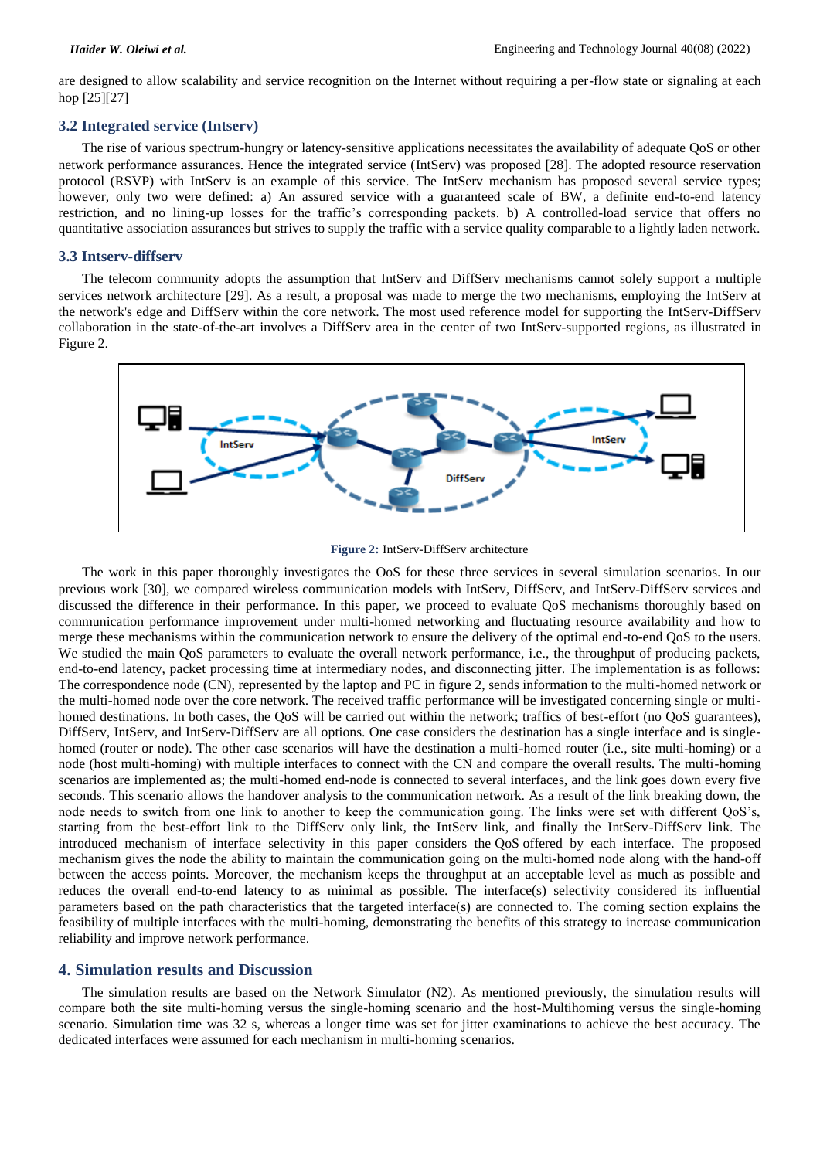are designed to allow scalability and service recognition on the Internet without requiring a per-flow state or signaling at each hop [\[25\]\[27\]](#page-7-5)

## **3.2 Integrated service (Intserv)**

The rise of various spectrum-hungry or latency-sensitive applications necessitates the availability of adequate QoS or other network performance assurances. Hence the integrated service (IntServ) was proposed [\[28\].](#page-7-6) The adopted resource reservation protocol (RSVP) with IntServ is an example of this service. The IntServ mechanism has proposed several service types; however, only two were defined: a) An assured service with a guaranteed scale of BW, a definite end-to-end latency restriction, and no lining-up losses for the traffic's corresponding packets. b) A controlled-load service that offers no quantitative association assurances but strives to supply the traffic with a service quality comparable to a lightly laden network.

#### **3.3 Intserv-diffserv**

The telecom community adopts the assumption that IntServ and DiffServ mechanisms cannot solely support a multiple services network architecture [\[29\].](#page-7-7) As a result, a proposal was made to merge the two mechanisms, employing the IntServ at the network's edge and DiffServ within the core network. The most used reference model for supporting the IntServ-DiffServ collaboration in the state-of-the-art involves a DiffServ area in the center of two IntServ-supported regions, as illustrated in Figure 2.



**Figure 2:** IntServ-DiffServ architecture

The work in this paper thoroughly investigates the OoS for these three services in several simulation scenarios. In our previous work [\[30\],](#page-7-8) we compared wireless communication models with IntServ, DiffServ, and IntServ-DiffServ services and discussed the difference in their performance. In this paper, we proceed to evaluate QoS mechanisms thoroughly based on communication performance improvement under multi-homed networking and fluctuating resource availability and how to merge these mechanisms within the communication network to ensure the delivery of the optimal end-to-end QoS to the users. We studied the main QoS parameters to evaluate the overall network performance, i.e., the throughput of producing packets, end-to-end latency, packet processing time at intermediary nodes, and disconnecting jitter. The implementation is as follows: The correspondence node (CN), represented by the laptop and PC in figure 2, sends information to the multi-homed network or the multi-homed node over the core network. The received traffic performance will be investigated concerning single or multihomed destinations. In both cases, the QoS will be carried out within the network; traffics of best-effort (no QoS guarantees), DiffServ, IntServ, and IntServ-DiffServ are all options. One case considers the destination has a single interface and is singlehomed (router or node). The other case scenarios will have the destination a multi-homed router (i.e., site multi-homing) or a node (host multi-homing) with multiple interfaces to connect with the CN and compare the overall results. The multi-homing scenarios are implemented as; the multi-homed end-node is connected to several interfaces, and the link goes down every five seconds. This scenario allows the handover analysis to the communication network. As a result of the link breaking down, the node needs to switch from one link to another to keep the communication going. The links were set with different QoS's, starting from the best-effort link to the DiffServ only link, the IntServ link, and finally the IntServ-DiffServ link. The introduced mechanism of interface selectivity in this paper considers the QoS offered by each interface. The proposed mechanism gives the node the ability to maintain the communication going on the multi-homed node along with the hand-off between the access points. Moreover, the mechanism keeps the throughput at an acceptable level as much as possible and reduces the overall end-to-end latency to as minimal as possible. The interface(s) selectivity considered its influential parameters based on the path characteristics that the targeted interface(s) are connected to. The coming section explains the feasibility of multiple interfaces with the multi-homing, demonstrating the benefits of this strategy to increase communication reliability and improve network performance.

## **4. Simulation results and Discussion**

The simulation results are based on the Network Simulator (N2). As mentioned previously, the simulation results will compare both the site multi-homing versus the single-homing scenario and the host-Multihoming versus the single-homing scenario. Simulation time was 32 s, whereas a longer time was set for jitter examinations to achieve the best accuracy. The dedicated interfaces were assumed for each mechanism in multi-homing scenarios.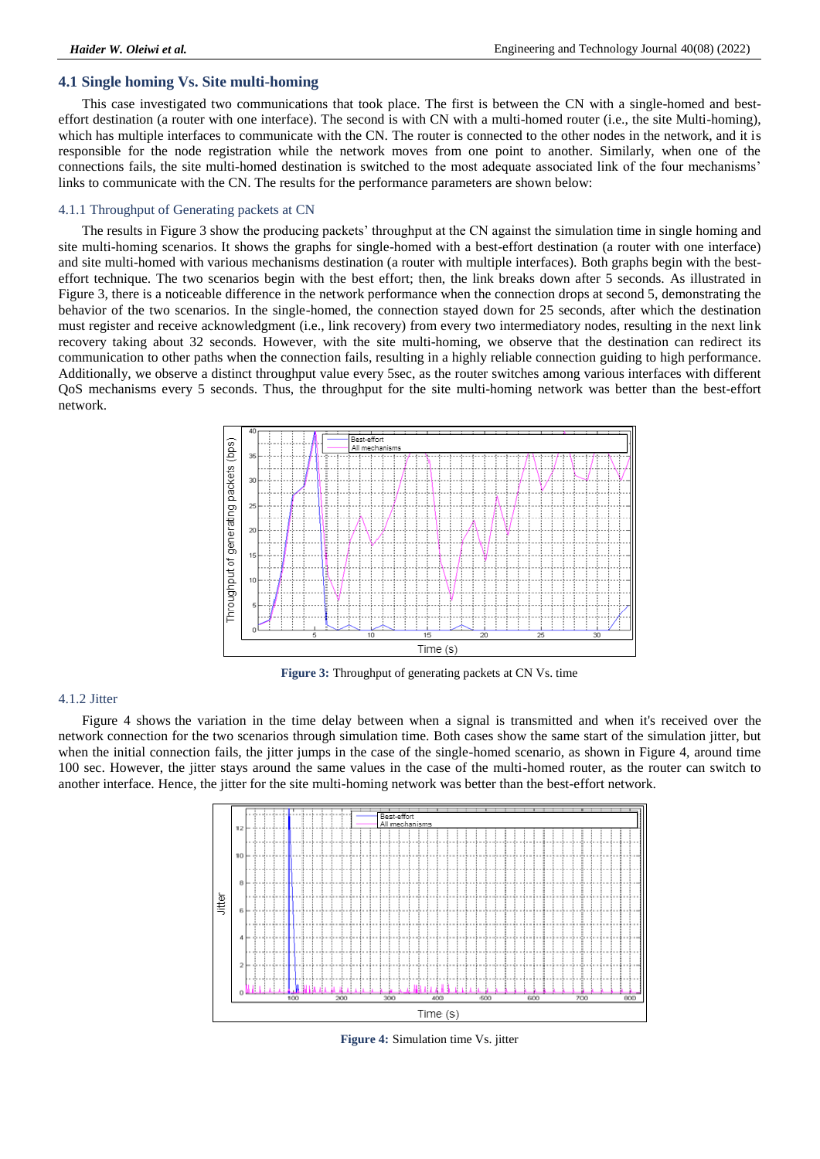## **4.1 Single homing Vs. Site multi-homing**

This case investigated two communications that took place. The first is between the CN with a single-homed and besteffort destination (a router with one interface). The second is with CN with a multi-homed router (i.e., the site Multi-homing), which has multiple interfaces to communicate with the CN. The router is connected to the other nodes in the network, and it is responsible for the node registration while the network moves from one point to another. Similarly, when one of the connections fails, the site multi-homed destination is switched to the most adequate associated link of the four mechanisms' links to communicate with the CN. The results for the performance parameters are shown below:

#### 4.1.1 Throughput of Generating packets at CN

The results in Figure 3 show the producing packets' throughput at the CN against the simulation time in single homing and site multi-homing scenarios. It shows the graphs for single-homed with a best-effort destination (a router with one interface) and site multi-homed with various mechanisms destination (a router with multiple interfaces). Both graphs begin with the besteffort technique. The two scenarios begin with the best effort; then, the link breaks down after 5 seconds. As illustrated in Figure 3, there is a noticeable difference in the network performance when the connection drops at second 5, demonstrating the behavior of the two scenarios. In the single-homed, the connection stayed down for 25 seconds, after which the destination must register and receive acknowledgment (i.e., link recovery) from every two intermediatory nodes, resulting in the next link recovery taking about 32 seconds. However, with the site multi-homing, we observe that the destination can redirect its communication to other paths when the connection fails, resulting in a highly reliable connection guiding to high performance. Additionally, we observe a distinct throughput value every 5sec, as the router switches among various interfaces with different QoS mechanisms every 5 seconds. Thus, the throughput for the site multi-homing network was better than the best-effort network.



**Figure 3:** Throughput of generating packets at CN Vs. time

## 4.1.2 Jitter

Figure 4 shows the variation in the time delay between when a signal is transmitted and when it's received over the network connection for the two scenarios through simulation time. Both cases show the same start of the simulation jitter, but when the initial connection fails, the jitter jumps in the case of the single-homed scenario, as shown in Figure 4, around time 100 sec. However, the jitter stays around the same values in the case of the multi-homed router, as the router can switch to another interface. Hence, the jitter for the site multi-homing network was better than the best-effort network.



**Figure 4:** Simulation time Vs. jitter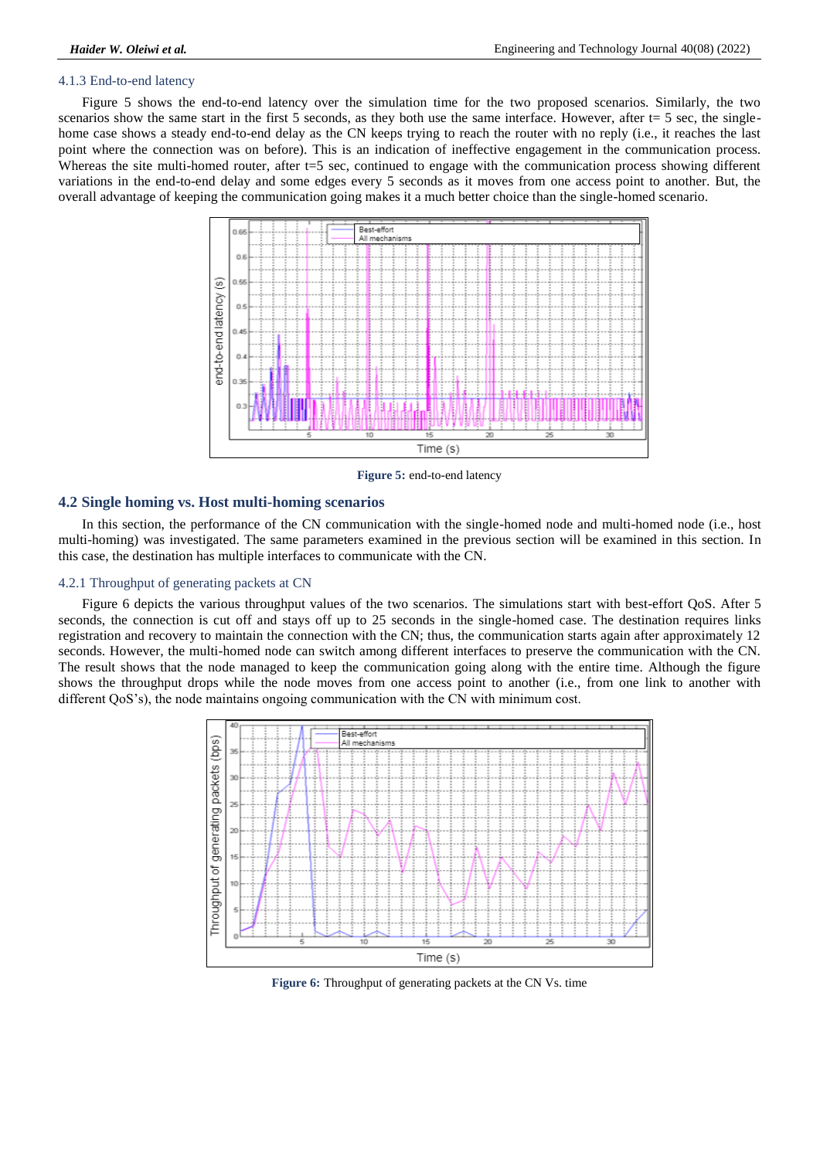### 4.1.3 End-to-end latency

Figure 5 shows the end-to-end latency over the simulation time for the two proposed scenarios. Similarly, the two scenarios show the same start in the first 5 seconds, as they both use the same interface. However, after t= 5 sec, the singlehome case shows a steady end-to-end delay as the CN keeps trying to reach the router with no reply (i.e., it reaches the last point where the connection was on before). This is an indication of ineffective engagement in the communication process. Whereas the site multi-homed router, after t=5 sec, continued to engage with the communication process showing different variations in the end-to-end delay and some edges every 5 seconds as it moves from one access point to another. But, the overall advantage of keeping the communication going makes it a much better choice than the single-homed scenario.



**Figure 5:** end-to-end latency

## **4.2 Single homing vs. Host multi-homing scenarios**

In this section, the performance of the CN communication with the single-homed node and multi-homed node (i.e., host multi-homing) was investigated. The same parameters examined in the previous section will be examined in this section. In this case, the destination has multiple interfaces to communicate with the CN.

#### 4.2.1 Throughput of generating packets at CN

Figure 6 depicts the various throughput values of the two scenarios. The simulations start with best-effort QoS. After 5 seconds, the connection is cut off and stays off up to 25 seconds in the single-homed case. The destination requires links registration and recovery to maintain the connection with the CN; thus, the communication starts again after approximately 12 seconds. However, the multi-homed node can switch among different interfaces to preserve the communication with the CN. The result shows that the node managed to keep the communication going along with the entire time. Although the figure shows the throughput drops while the node moves from one access point to another (i.e., from one link to another with different QoS's), the node maintains ongoing communication with the CN with minimum cost.



**Figure 6:** Throughput of generating packets at the CN Vs. time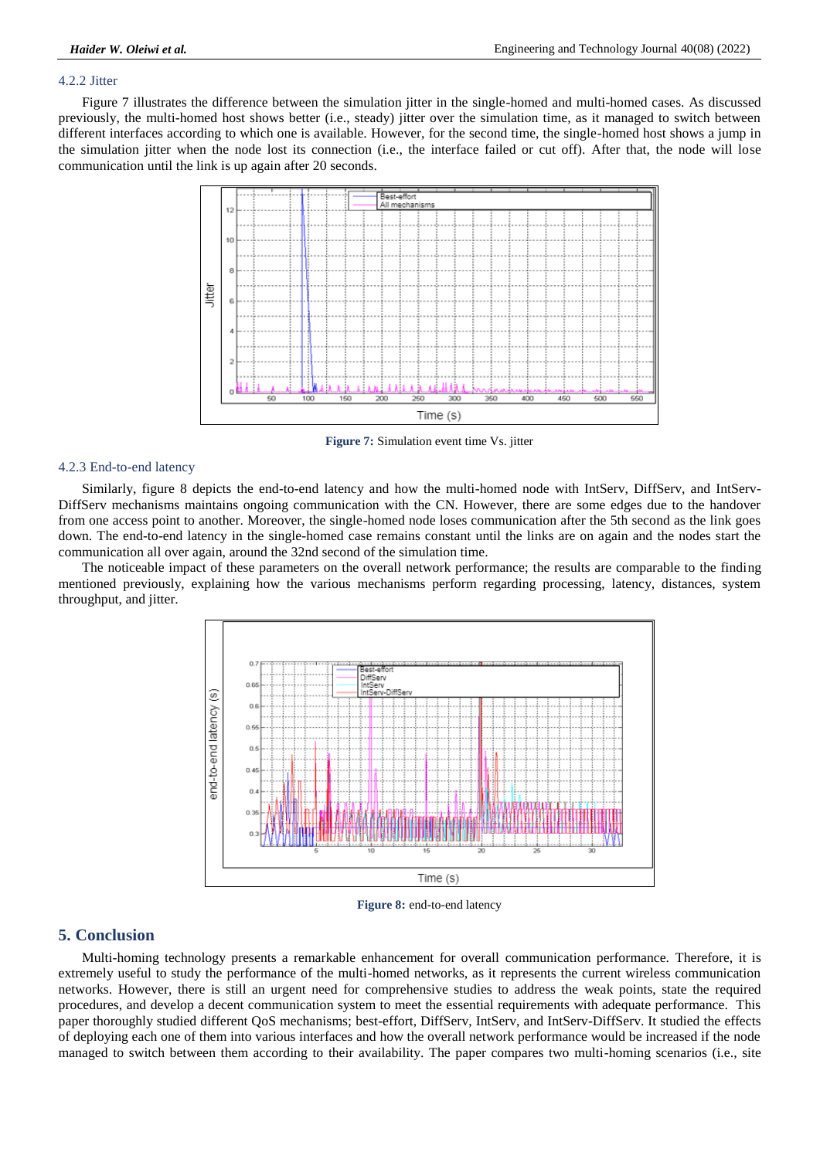## 4.2.2 Jitter

Figure 7 illustrates the difference between the simulation jitter in the single-homed and multi-homed cases. As discussed previously, the multi-homed host shows better (i.e., steady) jitter over the simulation time, as it managed to switch between different interfaces according to which one is available. However, for the second time, the single-homed host shows a jump in the simulation jitter when the node lost its connection (i.e., the interface failed or cut off). After that, the node will lose communication until the link is up again after 20 seconds.



**Figure 7:** Simulation event time Vs. jitter

#### 4.2.3 End-to-end latency

Similarly, figure 8 depicts the end-to-end latency and how the multi-homed node with IntServ, DiffServ, and IntServ-DiffServ mechanisms maintains ongoing communication with the CN. However, there are some edges due to the handover from one access point to another. Moreover, the single-homed node loses communication after the 5th second as the link goes down. The end-to-end latency in the single-homed case remains constant until the links are on again and the nodes start the communication all over again, around the 32nd second of the simulation time.

The noticeable impact of these parameters on the overall network performance; the results are comparable to the finding mentioned previously, explaining how the various mechanisms perform regarding processing, latency, distances, system throughput, and jitter.



**Figure 8:** end-to-end latency

## **5. Conclusion**

Multi-homing technology presents a remarkable enhancement for overall communication performance. Therefore, it is extremely useful to study the performance of the multi-homed networks, as it represents the current wireless communication networks. However, there is still an urgent need for comprehensive studies to address the weak points, state the required procedures, and develop a decent communication system to meet the essential requirements with adequate performance. This paper thoroughly studied different QoS mechanisms; best-effort, DiffServ, IntServ, and IntServ-DiffServ. It studied the effects of deploying each one of them into various interfaces and how the overall network performance would be increased if the node managed to switch between them according to their availability. The paper compares two multi-homing scenarios (i.e., site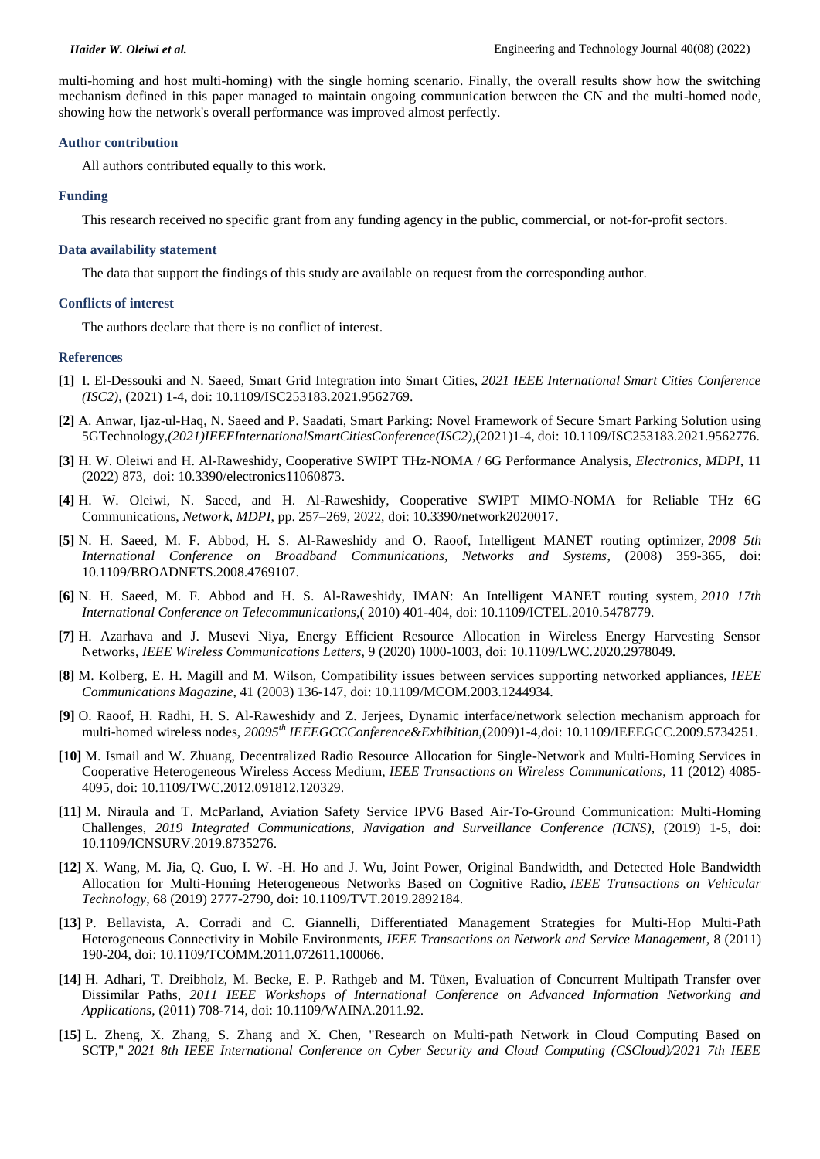multi-homing and host multi-homing) with the single homing scenario. Finally, the overall results show how the switching mechanism defined in this paper managed to maintain ongoing communication between the CN and the multi-homed node, showing how the network's overall performance was improved almost perfectly.

#### **Author contribution**

All authors contributed equally to this work.

#### **Funding**

This research received no specific grant from any funding agency in the public, commercial, or not-for-profit sectors.

#### **Data availability statement**

The data that support the findings of this study are available on request from the corresponding author.

#### **Conflicts of interest**

The authors declare that there is no conflict of interest.

#### **References**

- <span id="page-6-0"></span>**[1]** I. El-Dessouki and N. Saeed, Smart Grid Integration into Smart Cities, *2021 IEEE International Smart Cities Conference (ISC2)*, (2021) 1-4, doi: 10.1109/ISC253183.2021.9562769.
- **[2]** A. Anwar, Ijaz-ul-Haq, N. Saeed and P. Saadati, Smart Parking: Novel Framework of Secure Smart Parking Solution using 5GTechnology,*(2021)IEEEInternationalSmartCitiesConference(ISC2)*,(2021)1-4, doi: 10.1109/ISC253183.2021.9562776.
- **[3]** H. W. Oleiwi and H. Al-Raweshidy, Cooperative SWIPT THz-NOMA / 6G Performance Analysis, *Electronics, MDPI*, 11 (2022) 873, doi: [10.3390/electronics11060873.](https://eur01.safelinks.protection.outlook.com/?url=https%3A%2F%2Fdoi.org%2F10.3390%2Felectronics11060873&data=04%7C01%7CNagham.Saeed%40uwl.ac.uk%7C00f408ee05c5419f04bd08da0dce5457%7Cb0abd1ed496642749f1959dd663e81f5%7C0%7C0%7C637837477070095054%7CUnknown%7CTWFpbGZsb3d8eyJWIjoiMC4wLjAwMDAiLCJQIjoiV2luMzIiLCJBTiI6Ik1haWwiLCJXVCI6Mn0%3D%7C3000&sdata=EYj2q9mdYRpimHKbDzD9cfI1f2nXqvnFqIV%2FEOxZf24%3D&reserved=0)
- **[4]** H. W. Oleiwi, N. Saeed, and H. Al-Raweshidy, Cooperative SWIPT MIMO-NOMA for Reliable THz 6G Communications, *Network, MDPI*, pp. 257–269, 2022, [doi: 10.3390/network2020017.](https://doi.org/10.3390/network2020017)
- <span id="page-6-1"></span>**[5]** N. H. Saeed, M. F. Abbod, H. S. Al-Raweshidy and O. Raoof, Intelligent MANET routing optimizer, *2008 5th International Conference on Broadband Communications, Networks and Systems*, (2008) 359-365, doi: 10.1109/BROADNETS.2008.4769107.
- <span id="page-6-2"></span>**[6]** N. H. Saeed, M. F. Abbod and H. S. Al-Raweshidy, IMAN: An Intelligent MANET routing system, *2010 17th International Conference on Telecommunications*,( 2010) 401-404, doi: 10.1109/ICTEL.2010.5478779.
- <span id="page-6-3"></span>**[7]** H. Azarhava and J. Musevi Niya, Energy Efficient Resource Allocation in Wireless Energy Harvesting Sensor Networks, *IEEE Wireless Communications Letters*, 9 (2020) 1000-1003, doi: 10.1109/LWC.2020.2978049.
- <span id="page-6-4"></span>**[8]** M. Kolberg, E. H. Magill and M. Wilson, Compatibility issues between services supporting networked appliances, *IEEE Communications Magazine*, 41 (2003) 136-147, doi: 10.1109/MCOM.2003.1244934.
- <span id="page-6-5"></span>**[9]** O. Raoof, H. Radhi, H. S. Al-Raweshidy and Z. Jerjees, Dynamic interface/network selection mechanism approach for multi-homed wireless nodes, *20095th IEEEGCCConference&Exhibition*,(2009)1-4,doi: 10.1109/IEEEGCC.2009.5734251.
- **[10]** M. Ismail and W. Zhuang, Decentralized Radio Resource Allocation for Single-Network and Multi-Homing Services in Cooperative Heterogeneous Wireless Access Medium, *IEEE Transactions on Wireless Communications*, 11 (2012) 4085- 4095, doi: 10.1109/TWC.2012.091812.120329.
- <span id="page-6-6"></span>**[11]** M. Niraula and T. McParland, Aviation Safety Service IPV6 Based Air-To-Ground Communication: Multi-Homing Challenges, *2019 Integrated Communications, Navigation and Surveillance Conference (ICNS)*, (2019) 1-5, doi: 10.1109/ICNSURV.2019.8735276.
- <span id="page-6-7"></span>**[12]** X. Wang, M. Jia, Q. Guo, I. W. -H. Ho and J. Wu, Joint Power, Original Bandwidth, and Detected Hole Bandwidth Allocation for Multi-Homing Heterogeneous Networks Based on Cognitive Radio, *IEEE Transactions on Vehicular Technology*, 68 (2019) 2777-2790, doi: 10.1109/TVT.2019.2892184.
- <span id="page-6-8"></span>**[13]** P. Bellavista, A. Corradi and C. Giannelli, Differentiated Management Strategies for Multi-Hop Multi-Path Heterogeneous Connectivity in Mobile Environments, *IEEE Transactions on Network and Service Management*, 8 (2011) 190-204, doi: 10.1109/TCOMM.2011.072611.100066.
- <span id="page-6-9"></span>**[14]** H. Adhari, T. Dreibholz, M. Becke, E. P. Rathgeb and M. Tüxen, Evaluation of Concurrent Multipath Transfer over Dissimilar Paths, *2011 IEEE Workshops of International Conference on Advanced Information Networking and Applications*, (2011) 708-714, doi: 10.1109/WAINA.2011.92.
- <span id="page-6-10"></span>**[15]** L. Zheng, X. Zhang, S. Zhang and X. Chen, "Research on Multi-path Network in Cloud Computing Based on SCTP," *2021 8th IEEE International Conference on Cyber Security and Cloud Computing (CSCloud)/2021 7th IEEE*